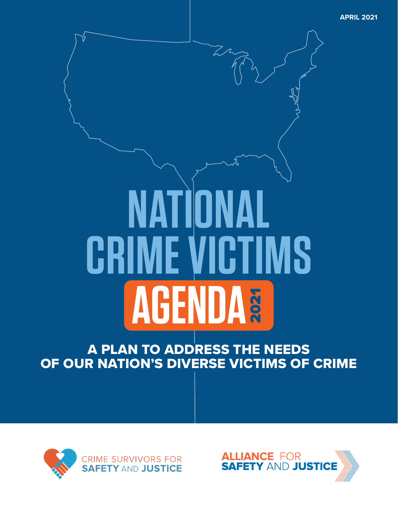**APRIL 2021**

# **CRIME VICTIMS NATIONA AGENDA** 2021

A PLAN TO ADDRESS THE NEEDS OF OUR NATION'S DIVERSE VICTIMS OF CRIME



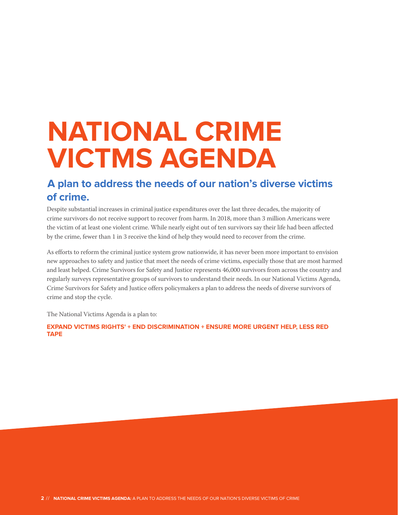# **NATIONAL CRIME VICTMS AGENDA**

# **A plan to address the needs of our nation's diverse victims of crime.**

Despite substantial increases in criminal justice expenditures over the last three decades, the majority of crime survivors do not receive support to recover from harm. In 2018, more than 3 million Americans were the victim of at least one violent crime. While nearly eight out of ten survivors say their life had been affected by the crime, fewer than 1 in 3 receive the kind of help they would need to recover from the crime.

As efforts to reform the criminal justice system grow nationwide, it has never been more important to envision new approaches to safety and justice that meet the needs of crime victims, especially those that are most harmed and least helped. Crime Survivors for Safety and Justice represents 46,000 survivors from across the country and regularly surveys representative groups of survivors to understand their needs. In our National Victims Agenda, Crime Survivors for Safety and Justice offers policymakers a plan to address the needs of diverse survivors of crime and stop the cycle.

The National Victims Agenda is a plan to:

**EXPAND VICTIMS RIGHTS' + END DISCRIMINATION + ENSURE MORE URGENT HELP, LESS RED TAPE**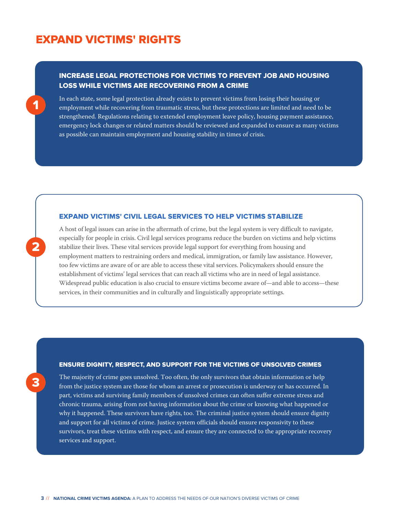## EXPAND VICTIMS' RIGHTS

1

2

3

#### INCREASE LEGAL PROTECTIONS FOR VICTIMS TO PREVENT JOB AND HOUSING LOSS WHILE VICTIMS ARE RECOVERING FROM A CRIME

In each state, some legal protection already exists to prevent victims from losing their housing or employment while recovering from traumatic stress, but these protections are limited and need to be strengthened. Regulations relating to extended employment leave policy, housing payment assistance, emergency lock changes or related matters should be reviewed and expanded to ensure as many victims as possible can maintain employment and housing stability in times of crisis.

#### EXPAND VICTIMS' CIVIL LEGAL SERVICES TO HELP VICTIMS STABILIZE

A host of legal issues can arise in the aftermath of crime, but the legal system is very difficult to navigate, especially for people in crisis. Civil legal services programs reduce the burden on victims and help victims stabilize their lives. These vital services provide legal support for everything from housing and employment matters to restraining orders and medical, immigration, or family law assistance. However, too few victims are aware of or are able to access these vital services. Policymakers should ensure the establishment of victims' legal services that can reach all victims who are in need of legal assistance. Widespread public education is also crucial to ensure victims become aware of—and able to access—these services, in their communities and in culturally and linguistically appropriate settings.

#### ENSURE DIGNITY, RESPECT, AND SUPPORT FOR THE VICTIMS OF UNSOLVED CRIMES

The majority of crime goes unsolved. Too often, the only survivors that obtain information or help from the justice system are those for whom an arrest or prosecution is underway or has occurred. In part, victims and surviving family members of unsolved crimes can often suffer extreme stress and chronic trauma, arising from not having information about the crime or knowing what happened or why it happened. These survivors have rights, too. The criminal justice system should ensure dignity and support for all victims of crime. Justice system officials should ensure responsivity to these survivors, treat these victims with respect, and ensure they are connected to the appropriate recovery services and support.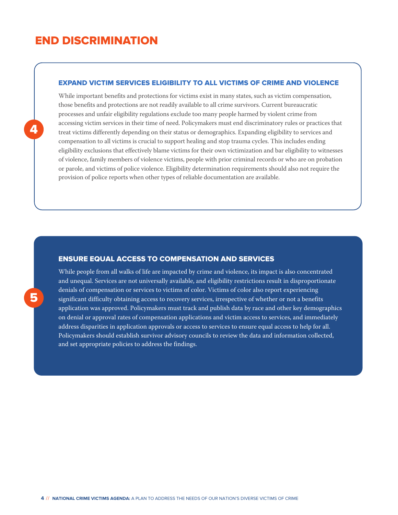# END DISCRIMINATION

#### EXPAND VICTIM SERVICES ELIGIBILITY TO ALL VICTIMS OF CRIME AND VIOLENCE

While important benefits and protections for victims exist in many states, such as victim compensation, those benefits and protections are not readily available to all crime survivors. Current bureaucratic processes and unfair eligibility regulations exclude too many people harmed by violent crime from accessing victim services in their time of need. Policymakers must end discriminatory rules or practices that treat victims differently depending on their status or demographics. Expanding eligibility to services and compensation to all victims is crucial to support healing and stop trauma cycles. This includes ending eligibility exclusions that effectively blame victims for their own victimization and bar eligibility to witnesses of violence, family members of violence victims, people with prior criminal records or who are on probation or parole, and victims of police violence. Eligibility determination requirements should also not require the provision of police reports when other types of reliable documentation are available.

#### ENSURE EQUAL ACCESS TO COMPENSATION AND SERVICES

While people from all walks of life are impacted by crime and violence, its impact is also concentrated and unequal. Services are not universally available, and eligibility restrictions result in disproportionate denials of compensation or services to victims of color. Victims of color also report experiencing significant difficulty obtaining access to recovery services, irrespective of whether or not a benefits application was approved. Policymakers must track and publish data by race and other key demographics on denial or approval rates of compensation applications and victim access to services, and immediately address disparities in application approvals or access to services to ensure equal access to help for all. Policymakers should establish survivor advisory councils to review the data and information collected, and set appropriate policies to address the findings.

5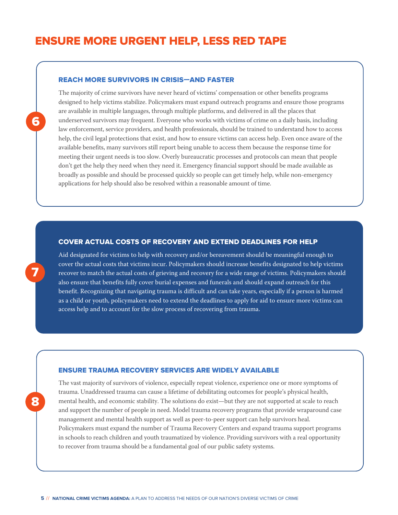## ENSURE MORE URGENT HELP, LESS RED TAPE

#### REACH MORE SURVIVORS IN CRISIS—AND FASTER

The majority of crime survivors have never heard of victims' compensation or other benefits programs designed to help victims stabilize. Policymakers must expand outreach programs and ensure those programs are available in multiple languages, through multiple platforms, and delivered in all the places that underserved survivors may frequent. Everyone who works with victims of crime on a daily basis, including law enforcement, service providers, and health professionals, should be trained to understand how to access help, the civil legal protections that exist, and how to ensure victims can access help. Even once aware of the available benefits, many survivors still report being unable to access them because the response time for meeting their urgent needs is too slow. Overly bureaucratic processes and protocols can mean that people don't get the help they need when they need it. Emergency financial support should be made available as broadly as possible and should be processed quickly so people can get timely help, while non-emergency applications for help should also be resolved within a reasonable amount of time.

#### COVER ACTUAL COSTS OF RECOVERY AND EXTEND DEADLINES FOR HELP

Aid designated for victims to help with recovery and/or bereavement should be meaningful enough to cover the actual costs that victims incur. Policymakers should increase benefits designated to help victims recover to match the actual costs of grieving and recovery for a wide range of victims. Policymakers should also ensure that benefits fully cover burial expenses and funerals and should expand outreach for this benefit. Recognizing that navigating trauma is difficult and can take years, especially if a person is harmed as a child or youth, policymakers need to extend the deadlines to apply for aid to ensure more victims can access help and to account for the slow process of recovering from trauma.

#### ENSURE TRAUMA RECOVERY SERVICES ARE WIDELY AVAILABLE

The vast majority of survivors of violence, especially repeat violence, experience one or more symptoms of trauma. Unaddressed trauma can cause a lifetime of debilitating outcomes for people's physical health, mental health, and economic stability. The solutions do exist—but they are not supported at scale to reach and support the number of people in need. Model trauma recovery programs that provide wraparound case management and mental health support as well as peer-to-peer support can help survivors heal. Policymakers must expand the number of Trauma Recovery Centers and expand trauma support programs in schools to reach children and youth traumatized by violence. Providing survivors with a real opportunity to recover from trauma should be a fundamental goal of our public safety systems.

6

7

8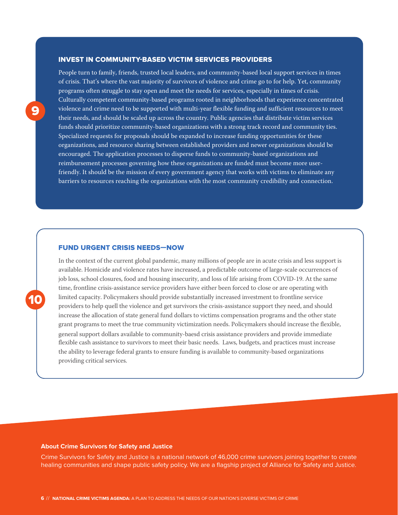#### INVEST IN COMMUNITY-BASED VICTIM SERVICES PROVIDERS

People turn to family, friends, trusted local leaders, and community-based local support services in times of crisis. That's where the vast majority of survivors of violence and crime go to for help. Yet, community programs often struggle to stay open and meet the needs for services, especially in times of crisis. Culturally competent community-based programs rooted in neighborhoods that experience concentrated violence and crime need to be supported with multi-year flexible funding and sufficient resources to meet their needs, and should be scaled up across the country. Public agencies that distribute victim services funds should prioritize community-based organizations with a strong track record and community ties. Specialized requests for proposals should be expanded to increase funding opportunities for these organizations, and resource sharing between established providers and newer organizations should be encouraged. The application processes to disperse funds to community-based organizations and reimbursement processes governing how these organizations are funded must become more userfriendly. It should be the mission of every government agency that works with victims to eliminate any barriers to resources reaching the organizations with the most community credibility and connection.

#### FUND URGENT CRISIS NEEDS—NOW

In the context of the current global pandemic, many millions of people are in acute crisis and less support is available. Homicide and violence rates have increased, a predictable outcome of large-scale occurrences of job loss, school closures, food and housing insecurity, and loss of life arising from COVID-19. At the same time, frontline crisis-assistance service providers have either been forced to close or are operating with limited capacity. Policymakers should provide substantially increased investment to frontline service providers to help quell the violence and get survivors the crisis-assistance support they need, and should increase the allocation of state general fund dollars to victims compensation programs and the other state grant programs to meet the true community victimization needs. Policymakers should increase the flexible, general support dollars available to community-baesd crisis assistance providers and provide immediate flexible cash assistance to survivors to meet their basic needs. Laws, budgets, and practices must increase the ability to leverage federal grants to ensure funding is available to community-based organizations providing critical services.

#### **About Crime Survivors for Safety and Justice**

Crime Survivors for Safety and Justice is a national network of 46,000 crime survivors joining together to create healing communities and shape public safety policy. We are a flagship project of Alliance for Safety and Justice.

10